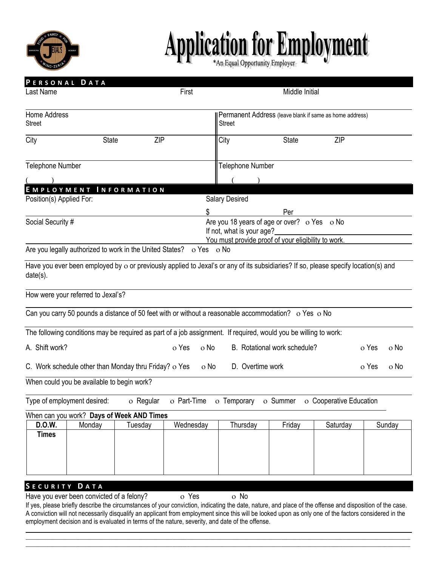

## Application for Employment

| PERSONAL DATA<br>Last Name<br>First                                                                                                                                                                                                                                                                                                                                                                                                                               |                         |                                                         | Middle Initial                                                                   |                              |                         |               |  |  |  |
|-------------------------------------------------------------------------------------------------------------------------------------------------------------------------------------------------------------------------------------------------------------------------------------------------------------------------------------------------------------------------------------------------------------------------------------------------------------------|-------------------------|---------------------------------------------------------|----------------------------------------------------------------------------------|------------------------------|-------------------------|---------------|--|--|--|
|                                                                                                                                                                                                                                                                                                                                                                                                                                                                   |                         |                                                         |                                                                                  |                              |                         |               |  |  |  |
| Home Address                                                                                                                                                                                                                                                                                                                                                                                                                                                      |                         | Permanent Address (leave blank if same as home address) |                                                                                  |                              |                         |               |  |  |  |
| <b>Street</b>                                                                                                                                                                                                                                                                                                                                                                                                                                                     |                         |                                                         |                                                                                  |                              | <b>Street</b>           |               |  |  |  |
| City<br><b>State</b>                                                                                                                                                                                                                                                                                                                                                                                                                                              | ZIP                     |                                                         | City                                                                             | State                        | ZIP                     |               |  |  |  |
|                                                                                                                                                                                                                                                                                                                                                                                                                                                                   |                         |                                                         |                                                                                  |                              |                         |               |  |  |  |
| <b>Telephone Number</b>                                                                                                                                                                                                                                                                                                                                                                                                                                           | <b>Telephone Number</b> |                                                         |                                                                                  |                              |                         |               |  |  |  |
|                                                                                                                                                                                                                                                                                                                                                                                                                                                                   |                         |                                                         |                                                                                  |                              |                         |               |  |  |  |
| EMPLOYMENT INFORMATION<br>Position(s) Applied For:                                                                                                                                                                                                                                                                                                                                                                                                                |                         |                                                         | <b>Salary Desired</b>                                                            |                              |                         |               |  |  |  |
|                                                                                                                                                                                                                                                                                                                                                                                                                                                                   |                         | \$                                                      |                                                                                  | Per                          |                         |               |  |  |  |
| Social Security #                                                                                                                                                                                                                                                                                                                                                                                                                                                 |                         |                                                         | Are you 18 years of age or over? o Yes o No                                      |                              |                         |               |  |  |  |
|                                                                                                                                                                                                                                                                                                                                                                                                                                                                   |                         |                                                         | If not, what is your age?<br>You must provide proof of your eligibility to work. |                              |                         |               |  |  |  |
| Are you legally authorized to work in the United States? o Yes o No                                                                                                                                                                                                                                                                                                                                                                                               |                         |                                                         |                                                                                  |                              |                         |               |  |  |  |
|                                                                                                                                                                                                                                                                                                                                                                                                                                                                   |                         |                                                         |                                                                                  |                              |                         |               |  |  |  |
| Have you ever been employed by o or previously applied to Jexal's or any of its subsidiaries? If so, please specify location(s) and<br>date(s).                                                                                                                                                                                                                                                                                                                   |                         |                                                         |                                                                                  |                              |                         |               |  |  |  |
| How were your referred to Jexal's?                                                                                                                                                                                                                                                                                                                                                                                                                                |                         |                                                         |                                                                                  |                              |                         |               |  |  |  |
| Can you carry 50 pounds a distance of 50 feet with or without a reasonable accommodation? o Yes o No                                                                                                                                                                                                                                                                                                                                                              |                         |                                                         |                                                                                  |                              |                         |               |  |  |  |
| The following conditions may be required as part of a job assignment. If required, would you be willing to work:                                                                                                                                                                                                                                                                                                                                                  |                         |                                                         |                                                                                  |                              |                         |               |  |  |  |
| A. Shift work?                                                                                                                                                                                                                                                                                                                                                                                                                                                    |                         | o Yes<br>o No                                           |                                                                                  | B. Rotational work schedule? |                         | o Yes<br>o No |  |  |  |
| C. Work schedule other than Monday thru Friday? o Yes                                                                                                                                                                                                                                                                                                                                                                                                             |                         | o No                                                    | D. Overtime work                                                                 |                              |                         | o Yes<br>o No |  |  |  |
| When could you be available to begin work?                                                                                                                                                                                                                                                                                                                                                                                                                        |                         |                                                         |                                                                                  |                              |                         |               |  |  |  |
| Type of employment desired:                                                                                                                                                                                                                                                                                                                                                                                                                                       | o Regular               |                                                         | o Part-Time o Temporary o Summer                                                 |                              | o Cooperative Education |               |  |  |  |
| When can you work? Days of Week AND Times                                                                                                                                                                                                                                                                                                                                                                                                                         |                         |                                                         |                                                                                  |                              |                         |               |  |  |  |
| D.O.W.<br>Monday<br><b>Times</b>                                                                                                                                                                                                                                                                                                                                                                                                                                  | Tuesday                 | Wednesday                                               | Thursday                                                                         | Friday                       | Saturday                | Sunday        |  |  |  |
|                                                                                                                                                                                                                                                                                                                                                                                                                                                                   |                         |                                                         |                                                                                  |                              |                         |               |  |  |  |
|                                                                                                                                                                                                                                                                                                                                                                                                                                                                   |                         |                                                         |                                                                                  |                              |                         |               |  |  |  |
| SECURITY DATA                                                                                                                                                                                                                                                                                                                                                                                                                                                     |                         |                                                         |                                                                                  |                              |                         |               |  |  |  |
| Have you ever been convicted of a felony?<br>If yes, please briefly describe the circumstances of your conviction, indicating the date, nature, and place of the offense and disposition of the case.<br>A conviction will not necessarily disqualify an applicant from employment since this will be looked upon as only one of the factors considered in the<br>employment decision and is evaluated in terms of the nature, severity, and date of the offense. |                         | o Yes                                                   | o No                                                                             |                              |                         |               |  |  |  |
|                                                                                                                                                                                                                                                                                                                                                                                                                                                                   |                         |                                                         |                                                                                  |                              |                         |               |  |  |  |

 $\Box \Box \Box \Box \Box \Box \Box \Box$